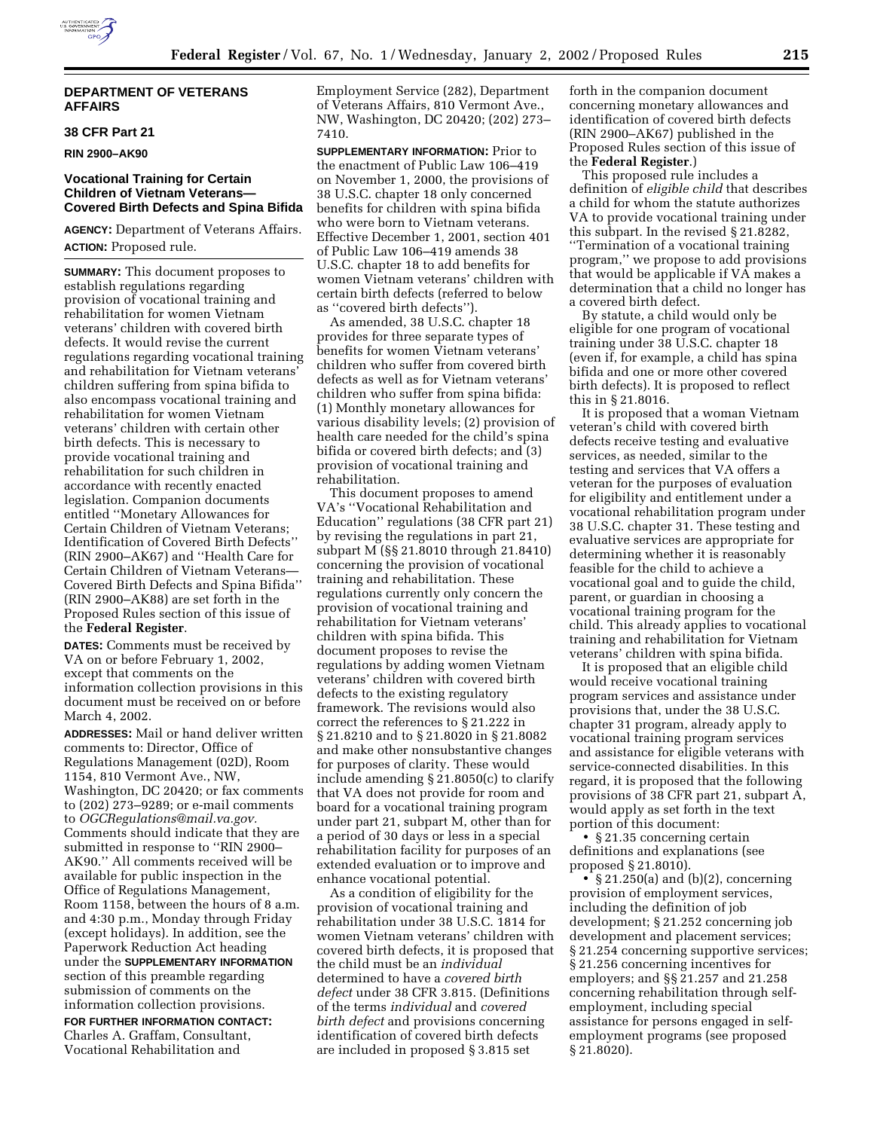# **DEPARTMENT OF VETERANS AFFAIRS**

# **38 CFR Part 21**

**RIN 2900–AK90** 

# **Vocational Training for Certain Children of Vietnam Veterans— Covered Birth Defects and Spina Bifida**

**AGENCY:** Department of Veterans Affairs. **ACTION:** Proposed rule.

**SUMMARY:** This document proposes to establish regulations regarding provision of vocational training and rehabilitation for women Vietnam veterans' children with covered birth defects. It would revise the current regulations regarding vocational training and rehabilitation for Vietnam veterans' children suffering from spina bifida to also encompass vocational training and rehabilitation for women Vietnam veterans' children with certain other birth defects. This is necessary to provide vocational training and rehabilitation for such children in accordance with recently enacted legislation. Companion documents entitled ''Monetary Allowances for Certain Children of Vietnam Veterans; Identification of Covered Birth Defects'' (RIN 2900–AK67) and ''Health Care for Certain Children of Vietnam Veterans— Covered Birth Defects and Spina Bifida'' (RIN 2900–AK88) are set forth in the Proposed Rules section of this issue of the **Federal Register**.

**DATES:** Comments must be received by VA on or before February 1, 2002, except that comments on the information collection provisions in this document must be received on or before March 4, 2002.

**ADDRESSES:** Mail or hand deliver written comments to: Director, Office of Regulations Management (02D), Room 1154, 810 Vermont Ave., NW, Washington, DC 20420; or fax comments to (202) 273–9289; or e-mail comments to *OGCRegulations@mail.va.gov.* Comments should indicate that they are submitted in response to ''RIN 2900– AK90.'' All comments received will be available for public inspection in the Office of Regulations Management, Room 1158, between the hours of 8 a.m. and 4:30 p.m., Monday through Friday (except holidays). In addition, see the Paperwork Reduction Act heading under the **SUPPLEMENTARY INFORMATION** section of this preamble regarding submission of comments on the information collection provisions.

**FOR FURTHER INFORMATION CONTACT:** Charles A. Graffam, Consultant, Vocational Rehabilitation and

Employment Service (282), Department of Veterans Affairs, 810 Vermont Ave., NW, Washington, DC 20420; (202) 273– 7410.

**SUPPLEMENTARY INFORMATION:** Prior to the enactment of Public Law 106–419 on November 1, 2000, the provisions of 38 U.S.C. chapter 18 only concerned benefits for children with spina bifida who were born to Vietnam veterans. Effective December 1, 2001, section 401 of Public Law 106–419 amends 38 U.S.C. chapter 18 to add benefits for women Vietnam veterans' children with certain birth defects (referred to below as ''covered birth defects'').

As amended, 38 U.S.C. chapter 18 provides for three separate types of benefits for women Vietnam veterans' children who suffer from covered birth defects as well as for Vietnam veterans' children who suffer from spina bifida: (1) Monthly monetary allowances for various disability levels; (2) provision of health care needed for the child's spina bifida or covered birth defects; and (3) provision of vocational training and rehabilitation.

This document proposes to amend VA's ''Vocational Rehabilitation and Education'' regulations (38 CFR part 21) by revising the regulations in part 21, subpart M (§§ 21.8010 through 21.8410) concerning the provision of vocational training and rehabilitation. These regulations currently only concern the provision of vocational training and rehabilitation for Vietnam veterans' children with spina bifida. This document proposes to revise the regulations by adding women Vietnam veterans' children with covered birth defects to the existing regulatory framework. The revisions would also correct the references to § 21.222 in § 21.8210 and to § 21.8020 in § 21.8082 and make other nonsubstantive changes for purposes of clarity. These would include amending § 21.8050(c) to clarify that VA does not provide for room and board for a vocational training program under part 21, subpart M, other than for a period of 30 days or less in a special rehabilitation facility for purposes of an extended evaluation or to improve and enhance vocational potential.

As a condition of eligibility for the provision of vocational training and rehabilitation under 38 U.S.C. 1814 for women Vietnam veterans' children with covered birth defects, it is proposed that the child must be an *individual* determined to have a *covered birth defect* under 38 CFR 3.815. (Definitions of the terms *individual* and *covered birth defect* and provisions concerning identification of covered birth defects are included in proposed § 3.815 set

forth in the companion document concerning monetary allowances and identification of covered birth defects (RIN 2900–AK67) published in the Proposed Rules section of this issue of the **Federal Register**.)

This proposed rule includes a definition of *eligible child* that describes a child for whom the statute authorizes VA to provide vocational training under this subpart. In the revised § 21.8282, ''Termination of a vocational training program,'' we propose to add provisions that would be applicable if VA makes a determination that a child no longer has a covered birth defect.

By statute, a child would only be eligible for one program of vocational training under 38 U.S.C. chapter 18 (even if, for example, a child has spina bifida and one or more other covered birth defects). It is proposed to reflect this in § 21.8016.

It is proposed that a woman Vietnam veteran's child with covered birth defects receive testing and evaluative services, as needed, similar to the testing and services that VA offers a veteran for the purposes of evaluation for eligibility and entitlement under a vocational rehabilitation program under 38 U.S.C. chapter 31. These testing and evaluative services are appropriate for determining whether it is reasonably feasible for the child to achieve a vocational goal and to guide the child, parent, or guardian in choosing a vocational training program for the child. This already applies to vocational training and rehabilitation for Vietnam veterans' children with spina bifida.

It is proposed that an eligible child would receive vocational training program services and assistance under provisions that, under the 38 U.S.C. chapter 31 program, already apply to vocational training program services and assistance for eligible veterans with service-connected disabilities. In this regard, it is proposed that the following provisions of 38 CFR part 21, subpart A, would apply as set forth in the text portion of this document:

• § 21.35 concerning certain definitions and explanations (see proposed § 21.8010).

•  $\S 21.250(a)$  and (b)(2), concerning provision of employment services, including the definition of job development; § 21.252 concerning job development and placement services; § 21.254 concerning supportive services; § 21.256 concerning incentives for employers; and §§ 21.257 and 21.258 concerning rehabilitation through selfemployment, including special assistance for persons engaged in selfemployment programs (see proposed § 21.8020).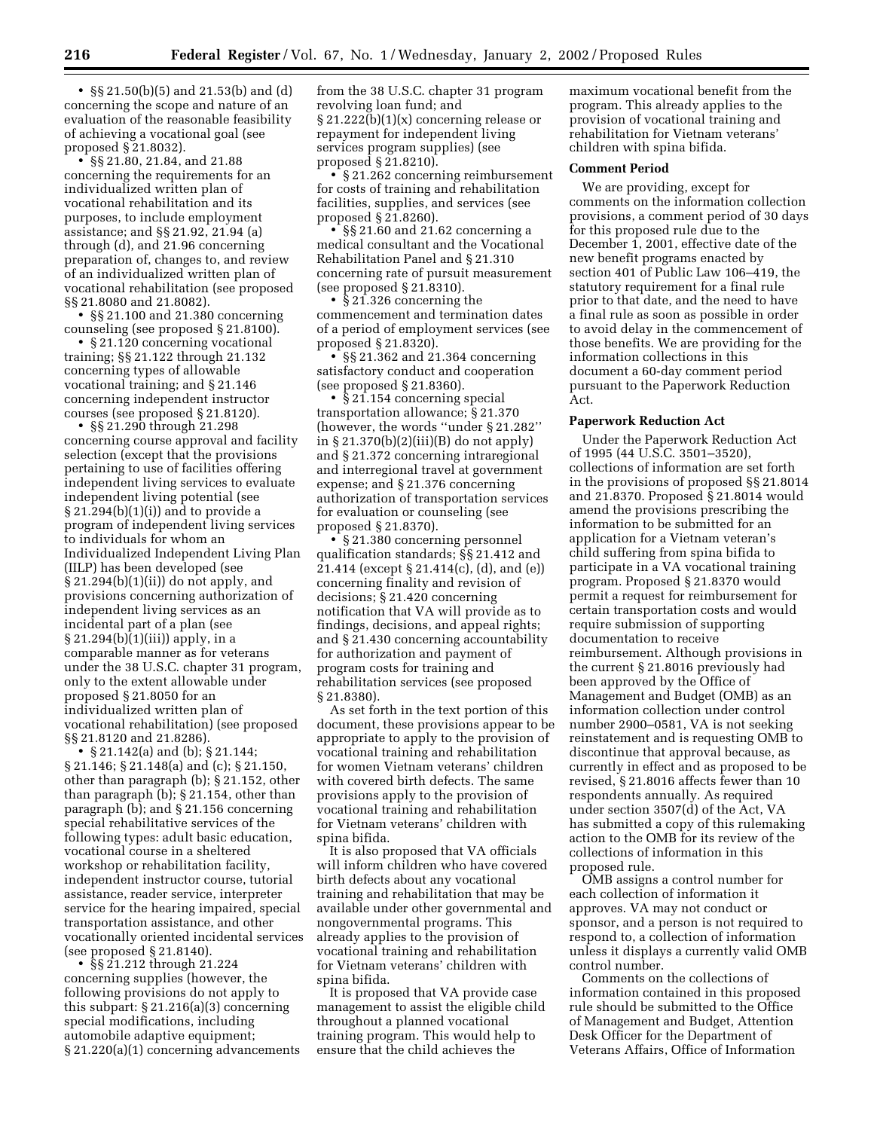• §§ 21.50(b)(5) and 21.53(b) and (d) concerning the scope and nature of an evaluation of the reasonable feasibility of achieving a vocational goal (see proposed § 21.8032).

• §§ 21.80, 21.84, and 21.88 concerning the requirements for an individualized written plan of vocational rehabilitation and its purposes, to include employment assistance; and §§ 21.92, 21.94 (a) through (d), and 21.96 concerning preparation of, changes to, and review of an individualized written plan of vocational rehabilitation (see proposed §§ 21.8080 and 21.8082).

• §§ 21.100 and 21.380 concerning counseling (see proposed § 21.8100).

• § 21.120 concerning vocational training; §§ 21.122 through 21.132 concerning types of allowable vocational training; and § 21.146 concerning independent instructor courses (see proposed § 21.8120).

• §§ 21.290 through 21.298 concerning course approval and facility selection (except that the provisions pertaining to use of facilities offering independent living services to evaluate independent living potential (see § 21.294(b)(1)(i)) and to provide a program of independent living services to individuals for whom an Individualized Independent Living Plan (IILP) has been developed (see § 21.294(b)(1)(ii)) do not apply, and provisions concerning authorization of independent living services as an incidental part of a plan (see § 21.294(b)(1)(iii)) apply, in a comparable manner as for veterans under the 38 U.S.C. chapter 31 program, only to the extent allowable under proposed § 21.8050 for an individualized written plan of vocational rehabilitation) (see proposed §§ 21.8120 and 21.8286).

• § 21.142(a) and (b); § 21.144; § 21.146; § 21.148(a) and (c); § 21.150, other than paragraph (b); § 21.152, other than paragraph (b); § 21.154, other than paragraph (b); and § 21.156 concerning special rehabilitative services of the following types: adult basic education, vocational course in a sheltered workshop or rehabilitation facility, independent instructor course, tutorial assistance, reader service, interpreter service for the hearing impaired, special transportation assistance, and other vocationally oriented incidental services (see proposed § 21.8140).

• §§ 21.212 through 21.224 concerning supplies (however, the following provisions do not apply to this subpart: § 21.216(a)(3) concerning special modifications, including automobile adaptive equipment; § 21.220(a)(1) concerning advancements

from the 38 U.S.C. chapter 31 program revolving loan fund; and § 21.222(b)(1)(x) concerning release or repayment for independent living services program supplies) (see proposed § 21.8210).

• § 21.262 concerning reimbursement for costs of training and rehabilitation facilities, supplies, and services (see proposed § 21.8260).

• §§ 21.60 and 21.62 concerning a medical consultant and the Vocational Rehabilitation Panel and § 21.310 concerning rate of pursuit measurement (see proposed § 21.8310).

• § 21.326 concerning the commencement and termination dates of a period of employment services (see proposed § 21.8320).

• §§ 21.362 and 21.364 concerning satisfactory conduct and cooperation (see proposed § 21.8360).

•  $§ 21.154$  concerning special transportation allowance; § 21.370 (however, the words ''under § 21.282'' in § 21.370(b)(2)(iii)(B) do not apply) and § 21.372 concerning intraregional and interregional travel at government expense; and § 21.376 concerning authorization of transportation services for evaluation or counseling (see proposed § 21.8370).

• § 21.380 concerning personnel qualification standards; §§ 21.412 and 21.414 (except § 21.414(c), (d), and (e)) concerning finality and revision of decisions; § 21.420 concerning notification that VA will provide as to findings, decisions, and appeal rights; and § 21.430 concerning accountability for authorization and payment of program costs for training and rehabilitation services (see proposed § 21.8380).

As set forth in the text portion of this document, these provisions appear to be appropriate to apply to the provision of vocational training and rehabilitation for women Vietnam veterans' children with covered birth defects. The same provisions apply to the provision of vocational training and rehabilitation for Vietnam veterans' children with spina bifida.

It is also proposed that VA officials will inform children who have covered birth defects about any vocational training and rehabilitation that may be available under other governmental and nongovernmental programs. This already applies to the provision of vocational training and rehabilitation for Vietnam veterans' children with spina bifida.

It is proposed that VA provide case management to assist the eligible child throughout a planned vocational training program. This would help to ensure that the child achieves the

maximum vocational benefit from the program. This already applies to the provision of vocational training and rehabilitation for Vietnam veterans' children with spina bifida.

# **Comment Period**

We are providing, except for comments on the information collection provisions, a comment period of 30 days for this proposed rule due to the December 1, 2001, effective date of the new benefit programs enacted by section 401 of Public Law 106–419, the statutory requirement for a final rule prior to that date, and the need to have a final rule as soon as possible in order to avoid delay in the commencement of those benefits. We are providing for the information collections in this document a 60-day comment period pursuant to the Paperwork Reduction Act.

### **Paperwork Reduction Act**

Under the Paperwork Reduction Act of 1995 (44 U.S.C. 3501–3520), collections of information are set forth in the provisions of proposed §§ 21.8014 and 21.8370. Proposed § 21.8014 would amend the provisions prescribing the information to be submitted for an application for a Vietnam veteran's child suffering from spina bifida to participate in a VA vocational training program. Proposed § 21.8370 would permit a request for reimbursement for certain transportation costs and would require submission of supporting documentation to receive reimbursement. Although provisions in the current § 21.8016 previously had been approved by the Office of Management and Budget (OMB) as an information collection under control number 2900–0581, VA is not seeking reinstatement and is requesting OMB to discontinue that approval because, as currently in effect and as proposed to be revised, § 21.8016 affects fewer than 10 respondents annually. As required under section 3507(d) of the Act, VA has submitted a copy of this rulemaking action to the OMB for its review of the collections of information in this proposed rule.

OMB assigns a control number for each collection of information it approves. VA may not conduct or sponsor, and a person is not required to respond to, a collection of information unless it displays a currently valid OMB control number.

Comments on the collections of information contained in this proposed rule should be submitted to the Office of Management and Budget, Attention Desk Officer for the Department of Veterans Affairs, Office of Information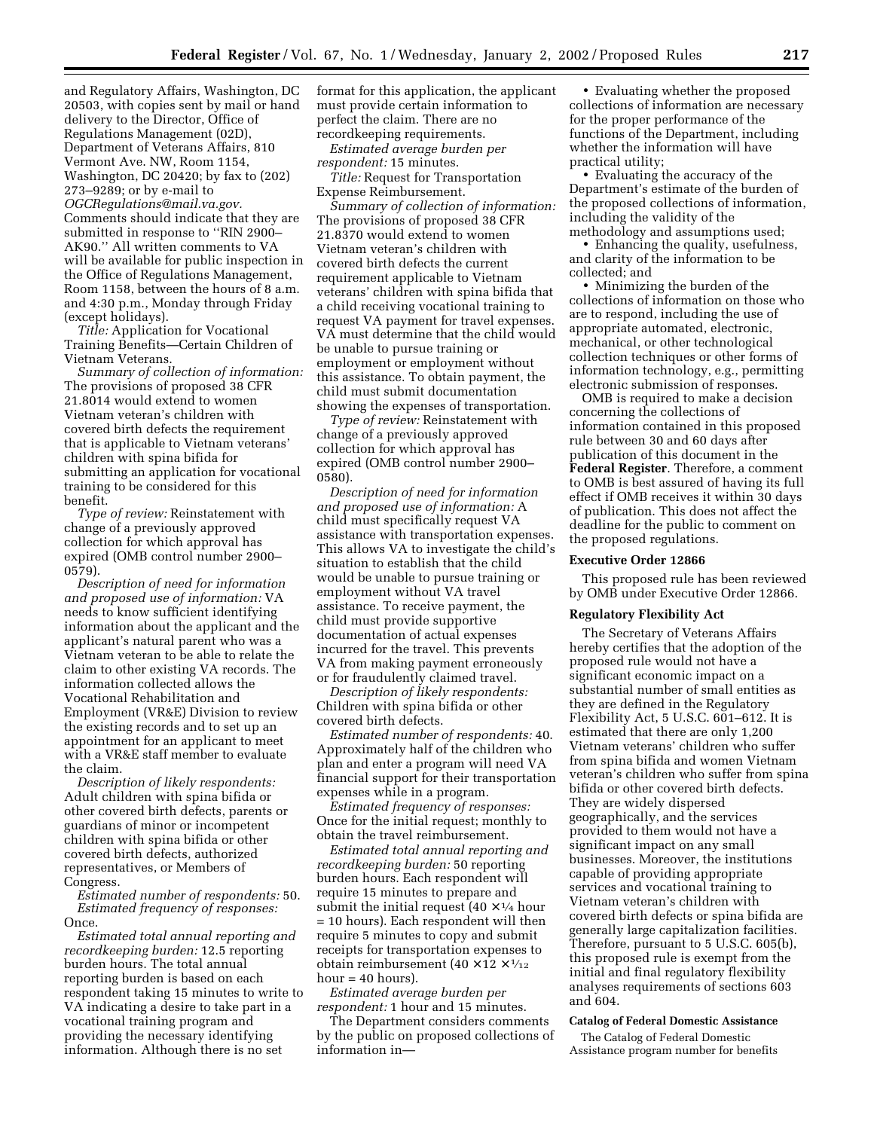and Regulatory Affairs, Washington, DC 20503, with copies sent by mail or hand delivery to the Director, Office of Regulations Management (02D), Department of Veterans Affairs, 810 Vermont Ave. NW, Room 1154, Washington, DC 20420; by fax to (202) 273–9289; or by e-mail to *OGCRegulations@mail.va.gov.* Comments should indicate that they are submitted in response to ''RIN 2900– AK90.'' All written comments to VA will be available for public inspection in the Office of Regulations Management, Room 1158, between the hours of 8 a.m. and 4:30 p.m., Monday through Friday (except holidays).

*Title:* Application for Vocational Training Benefits—Certain Children of Vietnam Veterans.

*Summary of collection of information:* The provisions of proposed 38 CFR 21.8014 would extend to women Vietnam veteran's children with covered birth defects the requirement that is applicable to Vietnam veterans' children with spina bifida for submitting an application for vocational training to be considered for this benefit.

*Type of review:* Reinstatement with change of a previously approved collection for which approval has expired (OMB control number 2900– 0579).

*Description of need for information and proposed use of information:* VA needs to know sufficient identifying information about the applicant and the applicant's natural parent who was a Vietnam veteran to be able to relate the claim to other existing VA records. The information collected allows the Vocational Rehabilitation and Employment (VR&E) Division to review the existing records and to set up an appointment for an applicant to meet with a VR&E staff member to evaluate the claim.

*Description of likely respondents:* Adult children with spina bifida or other covered birth defects, parents or guardians of minor or incompetent children with spina bifida or other covered birth defects, authorized representatives, or Members of Congress.

*Estimated number of respondents:* 50. *Estimated frequency of responses:* Once.

*Estimated total annual reporting and recordkeeping burden:* 12.5 reporting burden hours. The total annual reporting burden is based on each respondent taking 15 minutes to write to VA indicating a desire to take part in a vocational training program and providing the necessary identifying information. Although there is no set

format for this application, the applicant must provide certain information to perfect the claim. There are no recordkeeping requirements.

*Estimated average burden per respondent:* 15 minutes.

*Title:* Request for Transportation Expense Reimbursement.

*Summary of collection of information:* The provisions of proposed 38 CFR 21.8370 would extend to women Vietnam veteran's children with covered birth defects the current requirement applicable to Vietnam veterans' children with spina bifida that a child receiving vocational training to request VA payment for travel expenses. VA must determine that the child would be unable to pursue training or employment or employment without this assistance. To obtain payment, the child must submit documentation showing the expenses of transportation.

*Type of review:* Reinstatement with change of a previously approved collection for which approval has expired (OMB control number 2900– 0580).

*Description of need for information and proposed use of information:* A child must specifically request VA assistance with transportation expenses. This allows VA to investigate the child's situation to establish that the child would be unable to pursue training or employment without VA travel assistance. To receive payment, the child must provide supportive documentation of actual expenses incurred for the travel. This prevents VA from making payment erroneously or for fraudulently claimed travel.

*Description of likely respondents:* Children with spina bifida or other covered birth defects.

*Estimated number of respondents:* 40. Approximately half of the children who plan and enter a program will need VA financial support for their transportation expenses while in a program.

*Estimated frequency of responses:* Once for the initial request; monthly to obtain the travel reimbursement.

*Estimated total annual reporting and recordkeeping burden:* 50 reporting burden hours. Each respondent will require 15 minutes to prepare and submit the initial request  $(40 \times \frac{1}{4})$  hour = 10 hours). Each respondent will then require 5 minutes to copy and submit receipts for transportation expenses to obtain reimbursement  $(40 \times 12 \times \frac{1}{12})$  $hour = 40 hours$ .

*Estimated average burden per respondent:* 1 hour and 15 minutes.

The Department considers comments by the public on proposed collections of information in—

• Evaluating whether the proposed collections of information are necessary for the proper performance of the functions of the Department, including whether the information will have practical utility;

• Evaluating the accuracy of the Department's estimate of the burden of the proposed collections of information, including the validity of the methodology and assumptions used;

• Enhancing the quality, usefulness, and clarity of the information to be collected; and

• Minimizing the burden of the collections of information on those who are to respond, including the use of appropriate automated, electronic, mechanical, or other technological collection techniques or other forms of information technology, e.g., permitting electronic submission of responses.

OMB is required to make a decision concerning the collections of information contained in this proposed rule between 30 and 60 days after publication of this document in the **Federal Register**. Therefore, a comment to OMB is best assured of having its full effect if OMB receives it within 30 days of publication. This does not affect the deadline for the public to comment on the proposed regulations.

## **Executive Order 12866**

This proposed rule has been reviewed by OMB under Executive Order 12866.

#### **Regulatory Flexibility Act**

The Secretary of Veterans Affairs hereby certifies that the adoption of the proposed rule would not have a significant economic impact on a substantial number of small entities as they are defined in the Regulatory Flexibility Act, 5 U.S.C. 601–612. It is estimated that there are only 1,200 Vietnam veterans' children who suffer from spina bifida and women Vietnam veteran's children who suffer from spina bifida or other covered birth defects. They are widely dispersed geographically, and the services provided to them would not have a significant impact on any small businesses. Moreover, the institutions capable of providing appropriate services and vocational training to Vietnam veteran's children with covered birth defects or spina bifida are generally large capitalization facilities. Therefore, pursuant to 5 U.S.C. 605(b), this proposed rule is exempt from the initial and final regulatory flexibility analyses requirements of sections 603 and 604.

#### **Catalog of Federal Domestic Assistance**

The Catalog of Federal Domestic Assistance program number for benefits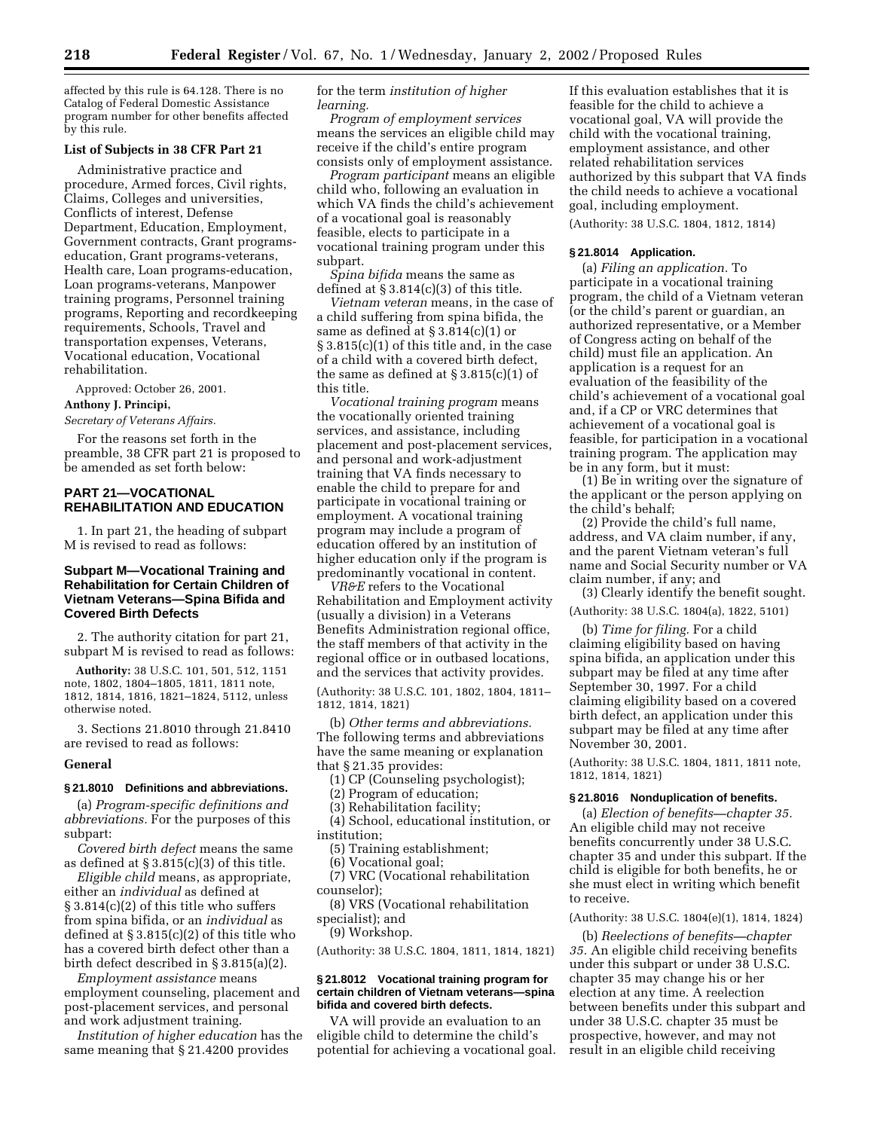affected by this rule is 64.128. There is no Catalog of Federal Domestic Assistance program number for other benefits affected by this rule.

# **List of Subjects in 38 CFR Part 21**

Administrative practice and procedure, Armed forces, Civil rights, Claims, Colleges and universities, Conflicts of interest, Defense Department, Education, Employment, Government contracts, Grant programseducation, Grant programs-veterans, Health care, Loan programs-education, Loan programs-veterans, Manpower training programs, Personnel training programs, Reporting and recordkeeping requirements, Schools, Travel and transportation expenses, Veterans, Vocational education, Vocational rehabilitation.

Approved: October 26, 2001.

#### **Anthony J. Principi,**

*Secretary of Veterans Affairs.*

For the reasons set forth in the preamble, 38 CFR part 21 is proposed to be amended as set forth below:

# **PART 21—VOCATIONAL REHABILITATION AND EDUCATION**

1. In part 21, the heading of subpart M is revised to read as follows:

# **Subpart M—Vocational Training and Rehabilitation for Certain Children of Vietnam Veterans—Spina Bifida and Covered Birth Defects**

2. The authority citation for part 21, subpart M is revised to read as follows:

**Authority:** 38 U.S.C. 101, 501, 512, 1151 note, 1802, 1804–1805, 1811, 1811 note, 1812, 1814, 1816, 1821–1824, 5112, unless otherwise noted.

3. Sections 21.8010 through 21.8410 are revised to read as follows:

#### **General**

#### **§ 21.8010 Definitions and abbreviations.**

(a) *Program-specific definitions and abbreviations.* For the purposes of this subpart:

*Covered birth defect* means the same as defined at  $\S 3.815(c)(3)$  of this title.

*Eligible child* means, as appropriate, either an *individual* as defined at § 3.814(c)(2) of this title who suffers from spina bifida, or an *individual* as defined at § 3.815(c)(2) of this title who has a covered birth defect other than a birth defect described in § 3.815(a)(2).

*Employment assistance* means employment counseling, placement and post-placement services, and personal and work adjustment training.

*Institution of higher education* has the same meaning that § 21.4200 provides

for the term *institution of higher learning.*

*Program of employment services* means the services an eligible child may receive if the child's entire program consists only of employment assistance.

*Program participant* means an eligible child who, following an evaluation in which VA finds the child's achievement of a vocational goal is reasonably feasible, elects to participate in a vocational training program under this subpart.

*Spina bifida* means the same as defined at  $\S 3.814(c)(3)$  of this title.

*Vietnam veteran* means, in the case of a child suffering from spina bifida, the same as defined at § 3.814(c)(1) or § 3.815(c)(1) of this title and, in the case of a child with a covered birth defect, the same as defined at § 3.815(c)(1) of this title.

*Vocational training program* means the vocationally oriented training services, and assistance, including placement and post-placement services, and personal and work-adjustment training that VA finds necessary to enable the child to prepare for and participate in vocational training or employment. A vocational training program may include a program of education offered by an institution of higher education only if the program is predominantly vocational in content.

*VR&E* refers to the Vocational Rehabilitation and Employment activity (usually a division) in a Veterans Benefits Administration regional office, the staff members of that activity in the regional office or in outbased locations, and the services that activity provides.

(Authority: 38 U.S.C. 101, 1802, 1804, 1811– 1812, 1814, 1821)

(b) *Other terms and abbreviations.* The following terms and abbreviations have the same meaning or explanation that § 21.35 provides:

(1) CP (Counseling psychologist);

(2) Program of education;

(3) Rehabilitation facility;

(4) School, educational institution, or institution;

(5) Training establishment;

(6) Vocational goal;

(7) VRC (Vocational rehabilitation counselor);

(8) VRS (Vocational rehabilitation specialist); and

(9) Workshop.

(Authority: 38 U.S.C. 1804, 1811, 1814, 1821)

#### **§ 21.8012 Vocational training program for certain children of Vietnam veterans—spina bifida and covered birth defects.**

VA will provide an evaluation to an eligible child to determine the child's potential for achieving a vocational goal.

If this evaluation establishes that it is feasible for the child to achieve a vocational goal, VA will provide the child with the vocational training, employment assistance, and other related rehabilitation services authorized by this subpart that VA finds the child needs to achieve a vocational goal, including employment.

(Authority: 38 U.S.C. 1804, 1812, 1814)

## **§ 21.8014 Application.**

(a) *Filing an application.* To participate in a vocational training program, the child of a Vietnam veteran (or the child's parent or guardian, an authorized representative, or a Member of Congress acting on behalf of the child) must file an application. An application is a request for an evaluation of the feasibility of the child's achievement of a vocational goal and, if a CP or VRC determines that achievement of a vocational goal is feasible, for participation in a vocational training program. The application may be in any form, but it must:

(1) Be in writing over the signature of the applicant or the person applying on the child's behalf;

(2) Provide the child's full name, address, and VA claim number, if any, and the parent Vietnam veteran's full name and Social Security number or VA claim number, if any; and

(3) Clearly identify the benefit sought. (Authority: 38 U.S.C. 1804(a), 1822, 5101)

(b) *Time for filing.* For a child claiming eligibility based on having spina bifida, an application under this subpart may be filed at any time after September 30, 1997. For a child claiming eligibility based on a covered birth defect, an application under this subpart may be filed at any time after November 30, 2001.

(Authority: 38 U.S.C. 1804, 1811, 1811 note, 1812, 1814, 1821)

### **§ 21.8016 Nonduplication of benefits.**

(a) *Election of benefits—chapter 35.* An eligible child may not receive benefits concurrently under 38 U.S.C. chapter 35 and under this subpart. If the child is eligible for both benefits, he or she must elect in writing which benefit to receive.

(Authority: 38 U.S.C. 1804(e)(1), 1814, 1824)

(b) *Reelections of benefits—chapter 35.* An eligible child receiving benefits under this subpart or under 38 U.S.C. chapter 35 may change his or her election at any time. A reelection between benefits under this subpart and under 38 U.S.C. chapter 35 must be prospective, however, and may not result in an eligible child receiving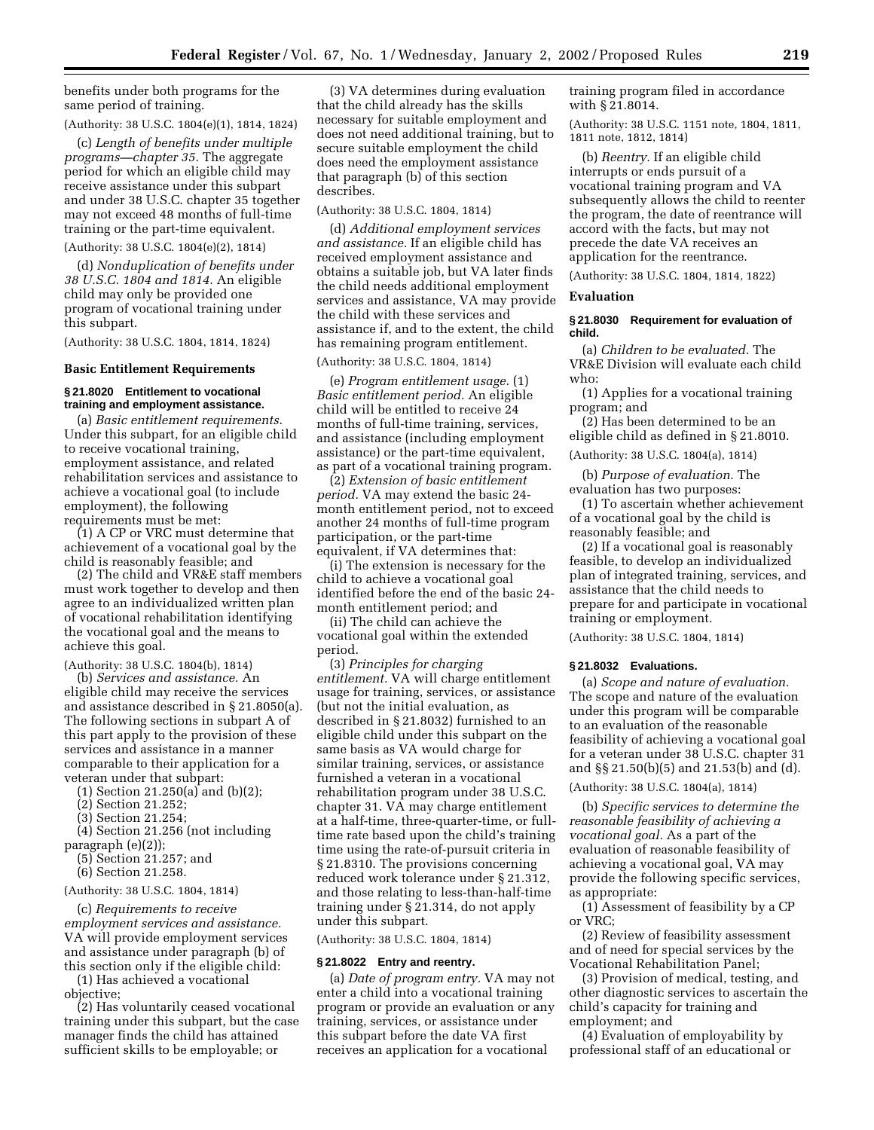benefits under both programs for the same period of training.

(Authority: 38 U.S.C. 1804(e)(1), 1814, 1824)

(c) *Length of benefits under multiple programs—chapter 35.* The aggregate period for which an eligible child may receive assistance under this subpart and under 38 U.S.C. chapter 35 together may not exceed 48 months of full-time training or the part-time equivalent.

(Authority: 38 U.S.C. 1804(e)(2), 1814)

(d) *Nonduplication of benefits under 38 U.S.C. 1804 and 1814.* An eligible child may only be provided one program of vocational training under this subpart.

(Authority: 38 U.S.C. 1804, 1814, 1824)

#### **Basic Entitlement Requirements**

#### **§ 21.8020 Entitlement to vocational training and employment assistance.**

(a) *Basic entitlement requirements.* Under this subpart, for an eligible child to receive vocational training, employment assistance, and related rehabilitation services and assistance to achieve a vocational goal (to include employment), the following requirements must be met:

(1) A CP or VRC must determine that achievement of a vocational goal by the child is reasonably feasible; and

(2) The child and VR&E staff members must work together to develop and then agree to an individualized written plan of vocational rehabilitation identifying the vocational goal and the means to achieve this goal.

(Authority: 38 U.S.C. 1804(b), 1814)

(b) *Services and assistance.* An eligible child may receive the services and assistance described in § 21.8050(a). The following sections in subpart A of this part apply to the provision of these services and assistance in a manner comparable to their application for a veteran under that subpart:

(1) Section 21.250(a) and (b)(2);

(2) Section 21.252;

(3) Section 21.254;

(4) Section 21.256 (not including paragraph (e)(2));

(5) Section 21.257; and

(6) Section 21.258.

(Authority: 38 U.S.C. 1804, 1814)

(c) *Requirements to receive employment services and assistance.* VA will provide employment services and assistance under paragraph (b) of this section only if the eligible child:

(1) Has achieved a vocational objective;

(2) Has voluntarily ceased vocational training under this subpart, but the case manager finds the child has attained sufficient skills to be employable; or

(3) VA determines during evaluation that the child already has the skills necessary for suitable employment and does not need additional training, but to secure suitable employment the child does need the employment assistance that paragraph (b) of this section describes.

(Authority: 38 U.S.C. 1804, 1814)

(d) *Additional employment services and assistance.* If an eligible child has received employment assistance and obtains a suitable job, but VA later finds the child needs additional employment services and assistance, VA may provide the child with these services and assistance if, and to the extent, the child has remaining program entitlement.

(Authority: 38 U.S.C. 1804, 1814)

(e) *Program entitlement usage.* (1) *Basic entitlement period.* An eligible child will be entitled to receive 24 months of full-time training, services, and assistance (including employment assistance) or the part-time equivalent, as part of a vocational training program.

(2) *Extension of basic entitlement period.* VA may extend the basic 24 month entitlement period, not to exceed another 24 months of full-time program participation, or the part-time equivalent, if VA determines that:

(i) The extension is necessary for the child to achieve a vocational goal identified before the end of the basic 24 month entitlement period; and

(ii) The child can achieve the vocational goal within the extended period.

(3) *Principles for charging entitlement.* VA will charge entitlement usage for training, services, or assistance (but not the initial evaluation, as described in § 21.8032) furnished to an eligible child under this subpart on the same basis as VA would charge for similar training, services, or assistance furnished a veteran in a vocational rehabilitation program under 38 U.S.C. chapter 31. VA may charge entitlement at a half-time, three-quarter-time, or fulltime rate based upon the child's training time using the rate-of-pursuit criteria in § 21.8310. The provisions concerning reduced work tolerance under § 21.312, and those relating to less-than-half-time training under § 21.314, do not apply under this subpart.

(Authority: 38 U.S.C. 1804, 1814)

### **§ 21.8022 Entry and reentry.**

(a) *Date of program entry.* VA may not enter a child into a vocational training program or provide an evaluation or any training, services, or assistance under this subpart before the date VA first receives an application for a vocational

training program filed in accordance with § 21.8014.

(Authority: 38 U.S.C. 1151 note, 1804, 1811, 1811 note, 1812, 1814)

(b) *Reentry.* If an eligible child interrupts or ends pursuit of a vocational training program and VA subsequently allows the child to reenter the program, the date of reentrance will accord with the facts, but may not precede the date VA receives an application for the reentrance.

(Authority: 38 U.S.C. 1804, 1814, 1822)

### **Evaluation**

#### **§ 21.8030 Requirement for evaluation of child.**

(a) *Children to be evaluated.* The VR&E Division will evaluate each child who:

(1) Applies for a vocational training program; and

(2) Has been determined to be an eligible child as defined in § 21.8010.

(Authority: 38 U.S.C. 1804(a), 1814)

(b) *Purpose of evaluation.* The evaluation has two purposes:

(1) To ascertain whether achievement of a vocational goal by the child is reasonably feasible; and

(2) If a vocational goal is reasonably feasible, to develop an individualized plan of integrated training, services, and assistance that the child needs to prepare for and participate in vocational training or employment.

(Authority: 38 U.S.C. 1804, 1814)

#### **§ 21.8032 Evaluations.**

(a) *Scope and nature of evaluation.* The scope and nature of the evaluation under this program will be comparable to an evaluation of the reasonable feasibility of achieving a vocational goal for a veteran under 38 U.S.C. chapter 31 and §§ 21.50(b)(5) and 21.53(b) and (d).

(Authority: 38 U.S.C. 1804(a), 1814)

(b) *Specific services to determine the reasonable feasibility of achieving a vocational goal.* As a part of the evaluation of reasonable feasibility of achieving a vocational goal, VA may provide the following specific services, as appropriate:

(1) Assessment of feasibility by a CP or VRC;

(2) Review of feasibility assessment and of need for special services by the Vocational Rehabilitation Panel;

(3) Provision of medical, testing, and other diagnostic services to ascertain the child's capacity for training and employment; and

(4) Evaluation of employability by professional staff of an educational or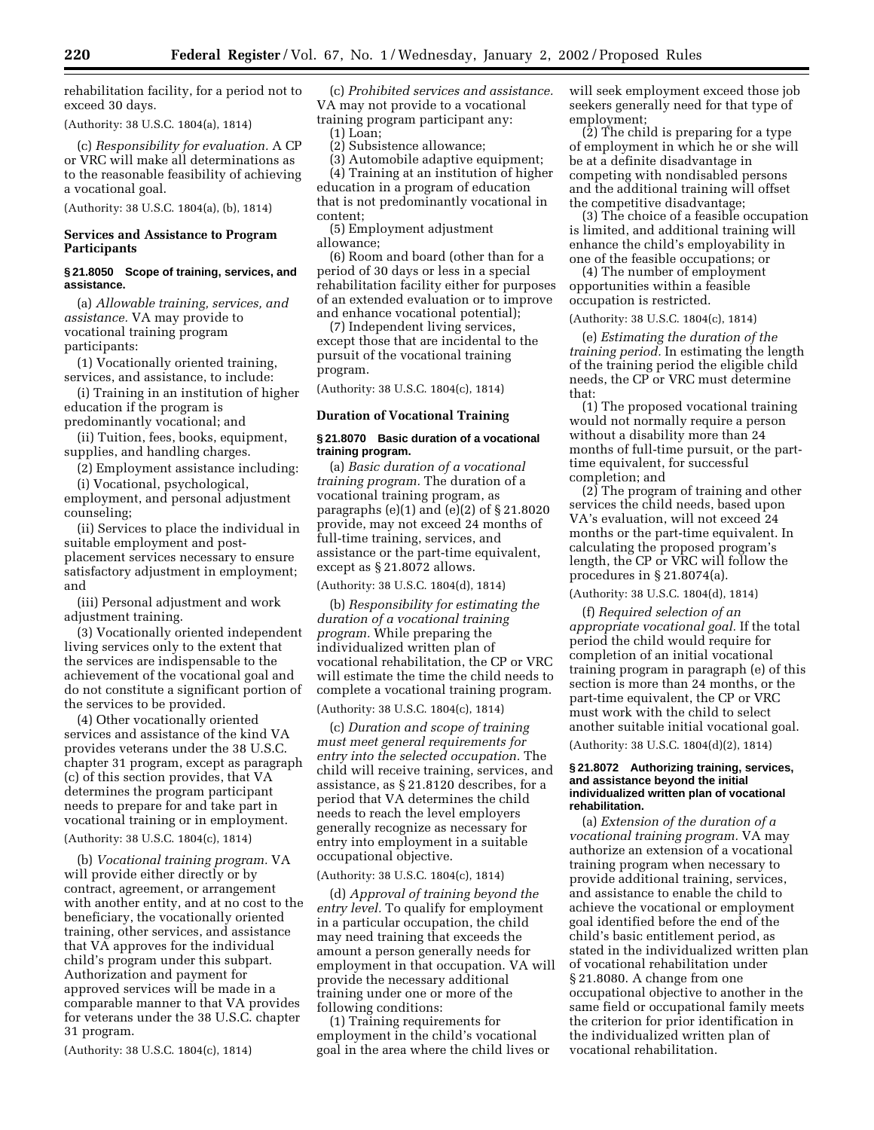rehabilitation facility, for a period not to exceed 30 days.

(Authority: 38 U.S.C. 1804(a), 1814)

(c) *Responsibility for evaluation.* A CP or VRC will make all determinations as to the reasonable feasibility of achieving a vocational goal.

(Authority: 38 U.S.C. 1804(a), (b), 1814)

# **Services and Assistance to Program Participants**

# **§ 21.8050 Scope of training, services, and assistance.**

(a) *Allowable training, services, and assistance.* VA may provide to vocational training program participants:

(1) Vocationally oriented training, services, and assistance, to include:

(i) Training in an institution of higher education if the program is predominantly vocational; and

(ii) Tuition, fees, books, equipment, supplies, and handling charges.

(2) Employment assistance including:

(i) Vocational, psychological, employment, and personal adjustment counseling;

(ii) Services to place the individual in suitable employment and postplacement services necessary to ensure satisfactory adjustment in employment; and

(iii) Personal adjustment and work adjustment training.

(3) Vocationally oriented independent living services only to the extent that the services are indispensable to the achievement of the vocational goal and do not constitute a significant portion of the services to be provided.

(4) Other vocationally oriented services and assistance of the kind VA provides veterans under the 38 U.S.C. chapter 31 program, except as paragraph (c) of this section provides, that VA determines the program participant needs to prepare for and take part in vocational training or in employment.

# (Authority: 38 U.S.C. 1804(c), 1814)

(b) *Vocational training program.* VA will provide either directly or by contract, agreement, or arrangement with another entity, and at no cost to the beneficiary, the vocationally oriented training, other services, and assistance that VA approves for the individual child's program under this subpart. Authorization and payment for approved services will be made in a comparable manner to that VA provides for veterans under the 38 U.S.C. chapter 31 program.

(Authority: 38 U.S.C. 1804(c), 1814)

(c) *Prohibited services and assistance.* VA may not provide to a vocational training program participant any:  $(1)$  Loan:

(2) Subsistence allowance;

(3) Automobile adaptive equipment; (4) Training at an institution of higher education in a program of education that is not predominantly vocational in content;

(5) Employment adjustment allowance;

(6) Room and board (other than for a period of 30 days or less in a special rehabilitation facility either for purposes of an extended evaluation or to improve and enhance vocational potential);

(7) Independent living services, except those that are incidental to the pursuit of the vocational training program.

(Authority: 38 U.S.C. 1804(c), 1814)

## **Duration of Vocational Training**

## **§ 21.8070 Basic duration of a vocational training program.**

(a) *Basic duration of a vocational training program.* The duration of a vocational training program, as paragraphs (e)(1) and (e)(2) of § 21.8020 provide, may not exceed 24 months of full-time training, services, and assistance or the part-time equivalent, except as § 21.8072 allows.

(Authority: 38 U.S.C. 1804(d), 1814)

(b) *Responsibility for estimating the duration of a vocational training program.* While preparing the individualized written plan of vocational rehabilitation, the CP or VRC will estimate the time the child needs to complete a vocational training program.

(Authority: 38 U.S.C. 1804(c), 1814)

(c) *Duration and scope of training must meet general requirements for entry into the selected occupation.* The child will receive training, services, and assistance, as § 21.8120 describes, for a period that VA determines the child needs to reach the level employers generally recognize as necessary for entry into employment in a suitable occupational objective.

#### (Authority: 38 U.S.C. 1804(c), 1814)

(d) *Approval of training beyond the entry level.* To qualify for employment in a particular occupation, the child may need training that exceeds the amount a person generally needs for employment in that occupation. VA will provide the necessary additional training under one or more of the following conditions:

(1) Training requirements for employment in the child's vocational goal in the area where the child lives or will seek employment exceed those job seekers generally need for that type of employment;

(2) The child is preparing for a type of employment in which he or she will be at a definite disadvantage in competing with nondisabled persons and the additional training will offset the competitive disadvantage;

(3) The choice of a feasible occupation is limited, and additional training will enhance the child's employability in one of the feasible occupations; or

(4) The number of employment opportunities within a feasible occupation is restricted.

#### (Authority: 38 U.S.C. 1804(c), 1814)

(e) *Estimating the duration of the training period.* In estimating the length of the training period the eligible child needs, the CP or VRC must determine that:

(1) The proposed vocational training would not normally require a person without a disability more than 24 months of full-time pursuit, or the parttime equivalent, for successful completion; and

(2) The program of training and other services the child needs, based upon VA's evaluation, will not exceed 24 months or the part-time equivalent. In calculating the proposed program's length, the CP or VRC will follow the procedures in § 21.8074(a).

(Authority: 38 U.S.C. 1804(d), 1814)

(f) *Required selection of an appropriate vocational goal.* If the total period the child would require for completion of an initial vocational training program in paragraph (e) of this section is more than 24 months, or the part-time equivalent, the CP or VRC must work with the child to select another suitable initial vocational goal.

(Authority: 38 U.S.C. 1804(d)(2), 1814)

#### **§ 21.8072 Authorizing training, services, and assistance beyond the initial individualized written plan of vocational rehabilitation.**

(a) *Extension of the duration of a vocational training program.* VA may authorize an extension of a vocational training program when necessary to provide additional training, services, and assistance to enable the child to achieve the vocational or employment goal identified before the end of the child's basic entitlement period, as stated in the individualized written plan of vocational rehabilitation under § 21.8080. A change from one occupational objective to another in the same field or occupational family meets the criterion for prior identification in the individualized written plan of vocational rehabilitation.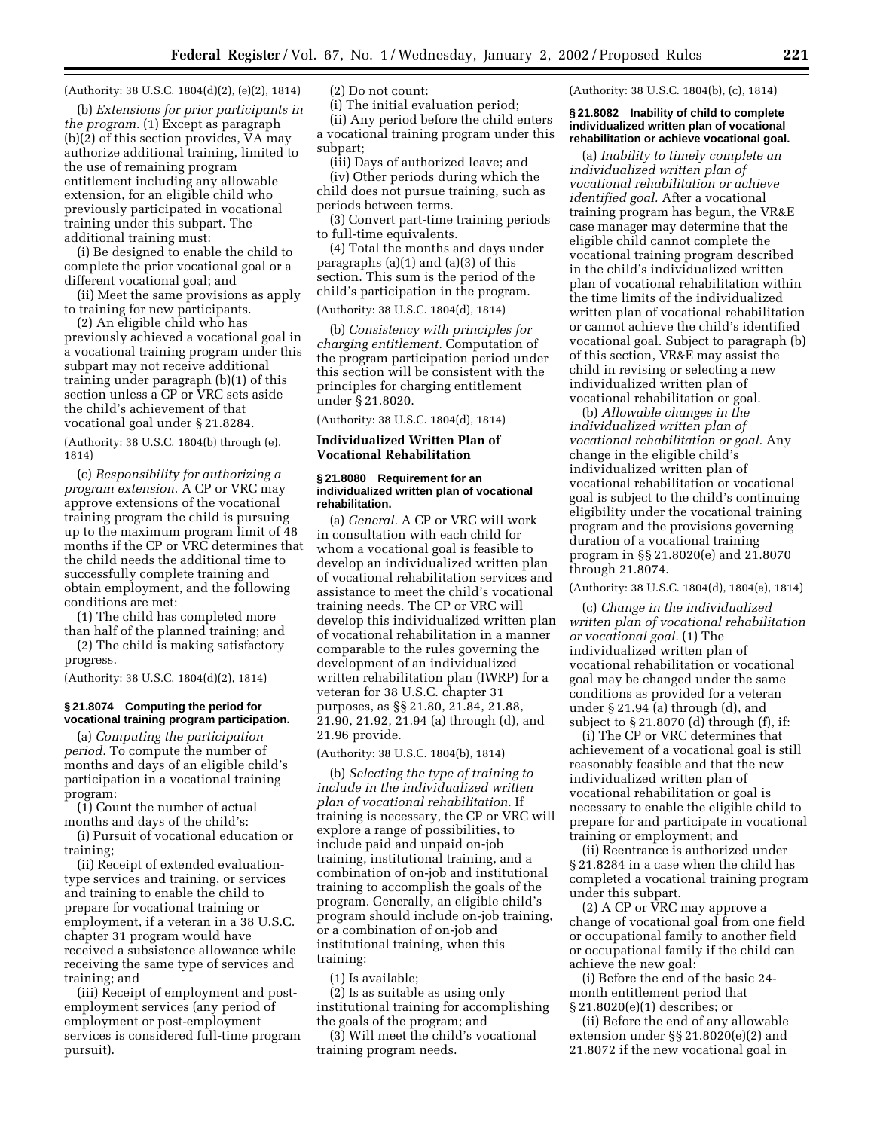(Authority: 38 U.S.C. 1804(d)(2), (e)(2), 1814)

(b) *Extensions for prior participants in the program.* (1) Except as paragraph (b)(2) of this section provides, VA may authorize additional training, limited to the use of remaining program entitlement including any allowable extension, for an eligible child who previously participated in vocational training under this subpart. The additional training must:

(i) Be designed to enable the child to complete the prior vocational goal or a different vocational goal; and

(ii) Meet the same provisions as apply to training for new participants.

(2) An eligible child who has previously achieved a vocational goal in a vocational training program under this subpart may not receive additional training under paragraph (b)(1) of this section unless a CP or VRC sets aside the child's achievement of that vocational goal under § 21.8284.

(Authority: 38 U.S.C. 1804(b) through (e), 1814)

(c) *Responsibility for authorizing a program extension.* A CP or VRC may approve extensions of the vocational training program the child is pursuing up to the maximum program limit of 48 months if the CP or VRC determines that the child needs the additional time to successfully complete training and obtain employment, and the following conditions are met:

(1) The child has completed more than half of the planned training; and

(2) The child is making satisfactory progress.

(Authority: 38 U.S.C. 1804(d)(2), 1814)

# **§ 21.8074 Computing the period for vocational training program participation.**

(a) *Computing the participation period.* To compute the number of months and days of an eligible child's participation in a vocational training program:

(1) Count the number of actual months and days of the child's:

(i) Pursuit of vocational education or training;

(ii) Receipt of extended evaluationtype services and training, or services and training to enable the child to prepare for vocational training or employment, if a veteran in a 38 U.S.C. chapter 31 program would have received a subsistence allowance while receiving the same type of services and training; and

(iii) Receipt of employment and postemployment services (any period of employment or post-employment services is considered full-time program pursuit).

(2) Do not count:

(i) The initial evaluation period; (ii) Any period before the child enters a vocational training program under this subpart;

(iii) Days of authorized leave; and (iv) Other periods during which the child does not pursue training, such as periods between terms.

(3) Convert part-time training periods to full-time equivalents.

(4) Total the months and days under paragraphs (a)(1) and (a)(3) of this section. This sum is the period of the child's participation in the program. (Authority: 38 U.S.C. 1804(d), 1814)

(b) *Consistency with principles for charging entitlement.* Computation of the program participation period under this section will be consistent with the principles for charging entitlement under § 21.8020.

(Authority: 38 U.S.C. 1804(d), 1814)

# **Individualized Written Plan of Vocational Rehabilitation**

### **§ 21.8080 Requirement for an individualized written plan of vocational rehabilitation.**

(a) *General.* A CP or VRC will work in consultation with each child for whom a vocational goal is feasible to develop an individualized written plan of vocational rehabilitation services and assistance to meet the child's vocational training needs. The CP or VRC will develop this individualized written plan of vocational rehabilitation in a manner comparable to the rules governing the development of an individualized written rehabilitation plan (IWRP) for a veteran for 38 U.S.C. chapter 31 purposes, as §§ 21.80, 21.84, 21.88, 21.90, 21.92, 21.94 (a) through (d), and 21.96 provide.

## (Authority: 38 U.S.C. 1804(b), 1814)

(b) *Selecting the type of training to include in the individualized written plan of vocational rehabilitation.* If training is necessary, the CP or VRC will explore a range of possibilities, to include paid and unpaid on-job training, institutional training, and a combination of on-job and institutional training to accomplish the goals of the program. Generally, an eligible child's program should include on-job training, or a combination of on-job and institutional training, when this training:

(1) Is available;

(2) Is as suitable as using only institutional training for accomplishing the goals of the program; and

(3) Will meet the child's vocational training program needs.

(Authority: 38 U.S.C. 1804(b), (c), 1814)

## **§ 21.8082 Inability of child to complete individualized written plan of vocational rehabilitation or achieve vocational goal.**

(a) *Inability to timely complete an individualized written plan of vocational rehabilitation or achieve identified goal.* After a vocational training program has begun, the VR&E case manager may determine that the eligible child cannot complete the vocational training program described in the child's individualized written plan of vocational rehabilitation within the time limits of the individualized written plan of vocational rehabilitation or cannot achieve the child's identified vocational goal. Subject to paragraph (b) of this section, VR&E may assist the child in revising or selecting a new individualized written plan of vocational rehabilitation or goal.

(b) *Allowable changes in the individualized written plan of vocational rehabilitation or goal.* Any change in the eligible child's individualized written plan of vocational rehabilitation or vocational goal is subject to the child's continuing eligibility under the vocational training program and the provisions governing duration of a vocational training program in §§ 21.8020(e) and 21.8070 through 21.8074.

# (Authority: 38 U.S.C. 1804(d), 1804(e), 1814)

(c) *Change in the individualized written plan of vocational rehabilitation or vocational goal.* (1) The individualized written plan of vocational rehabilitation or vocational goal may be changed under the same conditions as provided for a veteran under § 21.94 (a) through (d), and subject to § 21.8070 (d) through (f), if:

(i) The CP or VRC determines that achievement of a vocational goal is still reasonably feasible and that the new individualized written plan of vocational rehabilitation or goal is necessary to enable the eligible child to prepare for and participate in vocational training or employment; and

(ii) Reentrance is authorized under § 21.8284 in a case when the child has completed a vocational training program under this subpart.

(2) A CP or VRC may approve a change of vocational goal from one field or occupational family to another field or occupational family if the child can achieve the new goal:

(i) Before the end of the basic 24 month entitlement period that § 21.8020(e)(1) describes; or

(ii) Before the end of any allowable extension under §§ 21.8020(e)(2) and 21.8072 if the new vocational goal in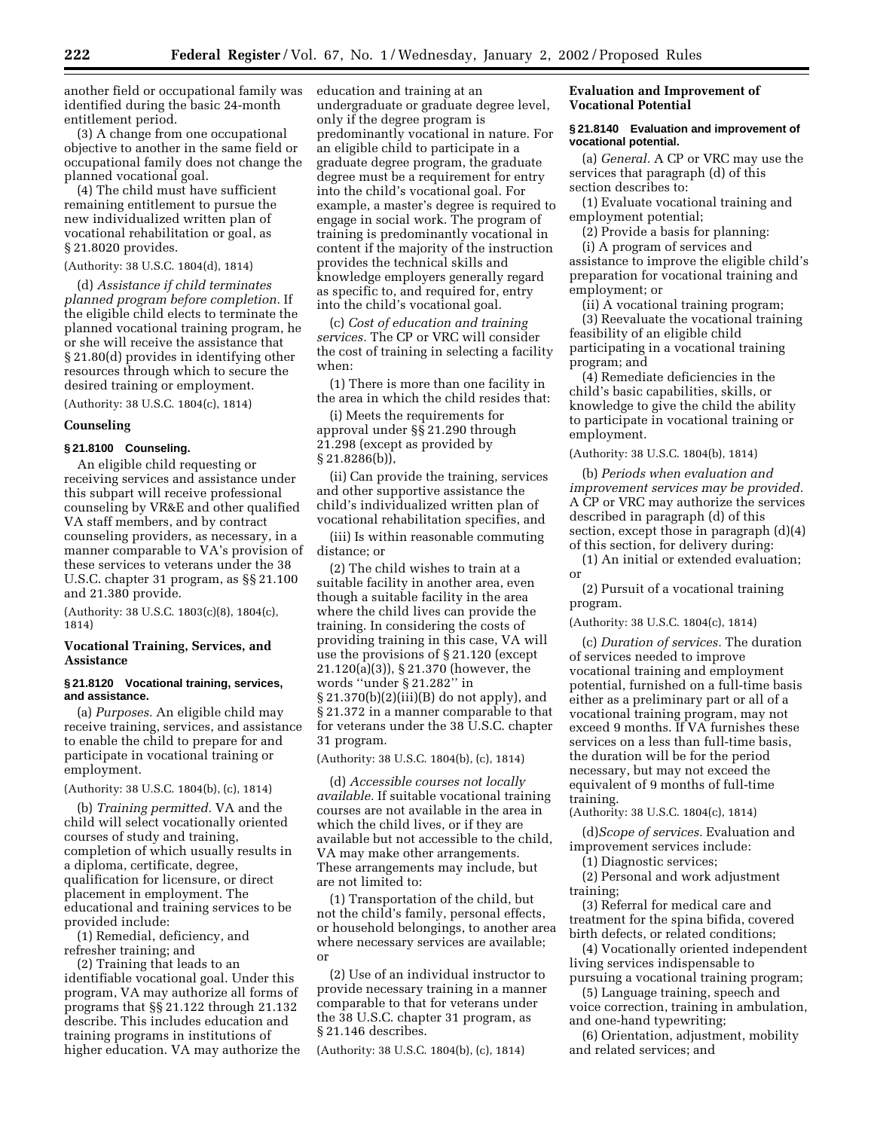another field or occupational family was identified during the basic 24-month entitlement period.

(3) A change from one occupational objective to another in the same field or occupational family does not change the planned vocational goal.

(4) The child must have sufficient remaining entitlement to pursue the new individualized written plan of vocational rehabilitation or goal, as § 21.8020 provides.

### (Authority: 38 U.S.C. 1804(d), 1814)

(d) *Assistance if child terminates planned program before completion.* If the eligible child elects to terminate the planned vocational training program, he or she will receive the assistance that § 21.80(d) provides in identifying other resources through which to secure the desired training or employment.

(Authority: 38 U.S.C. 1804(c), 1814)

## **Counseling**

# **§ 21.8100 Counseling.**

An eligible child requesting or receiving services and assistance under this subpart will receive professional counseling by VR&E and other qualified VA staff members, and by contract counseling providers, as necessary, in a manner comparable to VA's provision of these services to veterans under the 38 U.S.C. chapter 31 program, as §§ 21.100 and 21.380 provide.

(Authority: 38 U.S.C. 1803(c)(8), 1804(c), 1814)

## **Vocational Training, Services, and Assistance**

## **§ 21.8120 Vocational training, services, and assistance.**

(a) *Purposes.* An eligible child may receive training, services, and assistance to enable the child to prepare for and participate in vocational training or employment.

## (Authority: 38 U.S.C. 1804(b), (c), 1814)

(b) *Training permitted.* VA and the child will select vocationally oriented courses of study and training, completion of which usually results in a diploma, certificate, degree, qualification for licensure, or direct placement in employment. The educational and training services to be provided include:

(1) Remedial, deficiency, and refresher training; and

(2) Training that leads to an identifiable vocational goal. Under this program, VA may authorize all forms of programs that §§ 21.122 through 21.132 describe. This includes education and training programs in institutions of higher education. VA may authorize the education and training at an undergraduate or graduate degree level, only if the degree program is predominantly vocational in nature. For an eligible child to participate in a graduate degree program, the graduate degree must be a requirement for entry into the child's vocational goal. For example, a master's degree is required to engage in social work. The program of training is predominantly vocational in content if the majority of the instruction provides the technical skills and knowledge employers generally regard as specific to, and required for, entry into the child's vocational goal.

(c) *Cost of education and training services.* The CP or VRC will consider the cost of training in selecting a facility when:

(1) There is more than one facility in the area in which the child resides that:

(i) Meets the requirements for approval under §§ 21.290 through 21.298 (except as provided by § 21.8286(b)),

(ii) Can provide the training, services and other supportive assistance the child's individualized written plan of vocational rehabilitation specifies, and

(iii) Is within reasonable commuting distance; or

(2) The child wishes to train at a suitable facility in another area, even though a suitable facility in the area where the child lives can provide the training. In considering the costs of providing training in this case, VA will use the provisions of § 21.120 (except 21.120(a)(3)), § 21.370 (however, the words ''under § 21.282'' in § 21.370(b)(2)(iii)(B) do not apply), and § 21.372 in a manner comparable to that for veterans under the 38 U.S.C. chapter 31 program.

(Authority: 38 U.S.C. 1804(b), (c), 1814)

(d) *Accessible courses not locally available.* If suitable vocational training courses are not available in the area in which the child lives, or if they are available but not accessible to the child, VA may make other arrangements. These arrangements may include, but are not limited to:

(1) Transportation of the child, but not the child's family, personal effects, or household belongings, to another area where necessary services are available; or

(2) Use of an individual instructor to provide necessary training in a manner comparable to that for veterans under the 38 U.S.C. chapter 31 program, as § 21.146 describes.

(Authority: 38 U.S.C. 1804(b), (c), 1814)

# **Evaluation and Improvement of Vocational Potential**

## **§ 21.8140 Evaluation and improvement of vocational potential.**

(a) *General.* A CP or VRC may use the services that paragraph (d) of this section describes to:

(1) Evaluate vocational training and employment potential;

(2) Provide a basis for planning:

(i) A program of services and assistance to improve the eligible child's preparation for vocational training and employment; or

(ii) A vocational training program;

(3) Reevaluate the vocational training feasibility of an eligible child participating in a vocational training program; and

(4) Remediate deficiencies in the child's basic capabilities, skills, or knowledge to give the child the ability to participate in vocational training or employment.

(Authority: 38 U.S.C. 1804(b), 1814)

(b) *Periods when evaluation and improvement services may be provided.* A CP or VRC may authorize the services described in paragraph (d) of this section, except those in paragraph (d)(4) of this section, for delivery during:

(1) An initial or extended evaluation; or

(2) Pursuit of a vocational training program.

(Authority: 38 U.S.C. 1804(c), 1814)

(c) *Duration of services.* The duration of services needed to improve vocational training and employment potential, furnished on a full-time basis either as a preliminary part or all of a vocational training program, may not exceed 9 months. If VA furnishes these services on a less than full-time basis, the duration will be for the period necessary, but may not exceed the equivalent of 9 months of full-time training.

(Authority: 38 U.S.C. 1804(c), 1814)

(d)*Scope of services.* Evaluation and improvement services include:

(1) Diagnostic services;

(2) Personal and work adjustment training;

(3) Referral for medical care and treatment for the spina bifida, covered birth defects, or related conditions;

(4) Vocationally oriented independent living services indispensable to pursuing a vocational training program;

(5) Language training, speech and voice correction, training in ambulation, and one-hand typewriting;

(6) Orientation, adjustment, mobility and related services; and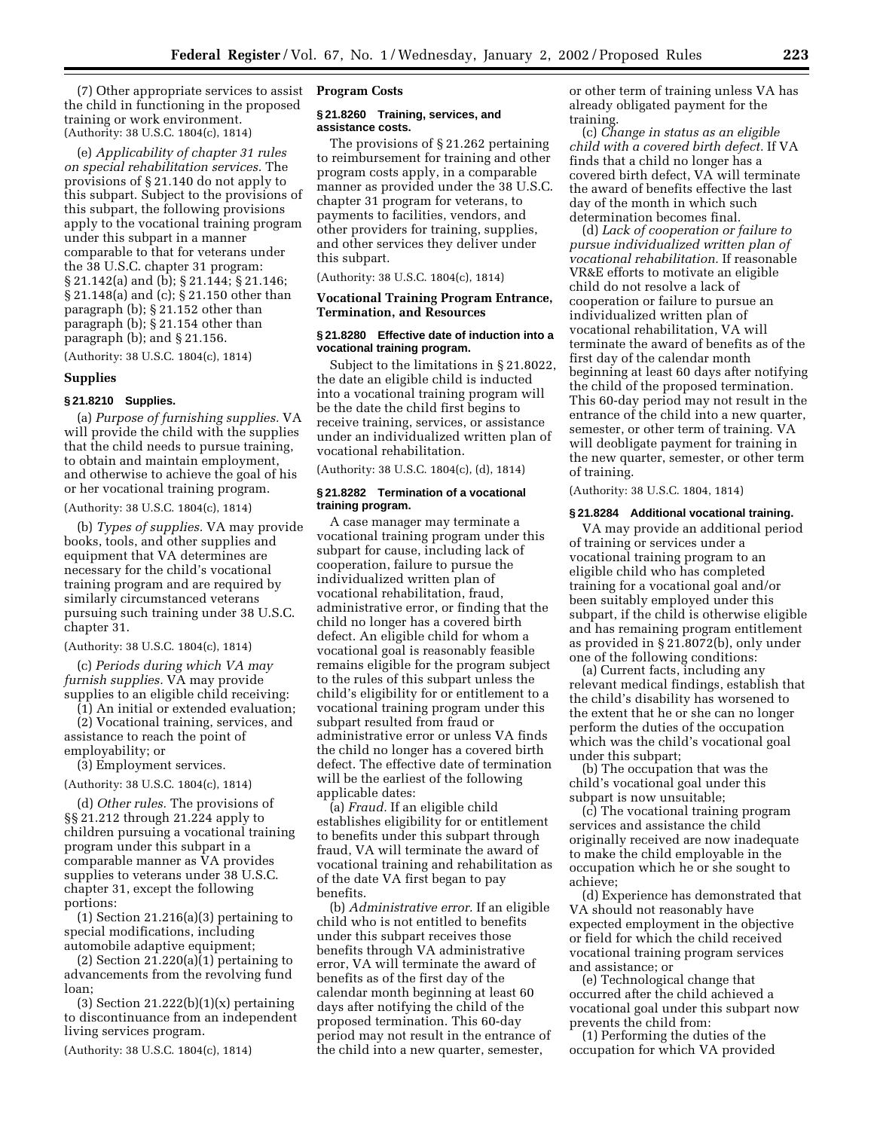(7) Other appropriate services to assist the child in functioning in the proposed training or work environment. (Authority: 38 U.S.C. 1804(c), 1814)

(e) *Applicability of chapter 31 rules on special rehabilitation services.* The provisions of § 21.140 do not apply to this subpart. Subject to the provisions of this subpart, the following provisions apply to the vocational training program under this subpart in a manner comparable to that for veterans under the 38 U.S.C. chapter 31 program: § 21.142(a) and (b); § 21.144; § 21.146; § 21.148(a) and (c); § 21.150 other than paragraph (b); § 21.152 other than paragraph (b); § 21.154 other than paragraph (b); and § 21.156.

(Authority: 38 U.S.C. 1804(c), 1814)

#### **Supplies**

#### **§ 21.8210 Supplies.**

(a) *Purpose of furnishing supplies.* VA will provide the child with the supplies that the child needs to pursue training, to obtain and maintain employment, and otherwise to achieve the goal of his or her vocational training program.

(Authority: 38 U.S.C. 1804(c), 1814)

(b) *Types of supplies.* VA may provide books, tools, and other supplies and equipment that VA determines are necessary for the child's vocational training program and are required by similarly circumstanced veterans pursuing such training under 38 U.S.C. chapter 31.

#### (Authority: 38 U.S.C. 1804(c), 1814)

(c) *Periods during which VA may furnish supplies.* VA may provide supplies to an eligible child receiving:

(1) An initial or extended evaluation;

(2) Vocational training, services, and assistance to reach the point of employability; or

(3) Employment services.

(Authority: 38 U.S.C. 1804(c), 1814)

(d) *Other rules.* The provisions of §§ 21.212 through 21.224 apply to children pursuing a vocational training program under this subpart in a comparable manner as VA provides supplies to veterans under 38 U.S.C. chapter 31, except the following portions:

 $(1)$  Section 21.216 $(a)(3)$  pertaining to special modifications, including automobile adaptive equipment;

 $(2)$  Section 21.220(a) $(1)$  pertaining to advancements from the revolving fund loan;

(3) Section  $21.222(b)(1)(x)$  pertaining to discontinuance from an independent living services program.

(Authority: 38 U.S.C. 1804(c), 1814)

#### **Program Costs**

#### **§ 21.8260 Training, services, and assistance costs.**

The provisions of § 21.262 pertaining to reimbursement for training and other program costs apply, in a comparable manner as provided under the 38 U.S.C. chapter 31 program for veterans, to payments to facilities, vendors, and other providers for training, supplies, and other services they deliver under this subpart.

(Authority: 38 U.S.C. 1804(c), 1814)

## **Vocational Training Program Entrance, Termination, and Resources**

# **§ 21.8280 Effective date of induction into a vocational training program.**

Subject to the limitations in § 21.8022, the date an eligible child is inducted into a vocational training program will be the date the child first begins to receive training, services, or assistance under an individualized written plan of vocational rehabilitation.

(Authority: 38 U.S.C. 1804(c), (d), 1814)

### **§ 21.8282 Termination of a vocational training program.**

A case manager may terminate a vocational training program under this subpart for cause, including lack of cooperation, failure to pursue the individualized written plan of vocational rehabilitation, fraud, administrative error, or finding that the child no longer has a covered birth defect. An eligible child for whom a vocational goal is reasonably feasible remains eligible for the program subject to the rules of this subpart unless the child's eligibility for or entitlement to a vocational training program under this subpart resulted from fraud or administrative error or unless VA finds the child no longer has a covered birth defect. The effective date of termination will be the earliest of the following applicable dates:

(a) *Fraud.* If an eligible child establishes eligibility for or entitlement to benefits under this subpart through fraud, VA will terminate the award of vocational training and rehabilitation as of the date VA first began to pay benefits.

(b) *Administrative error.* If an eligible child who is not entitled to benefits under this subpart receives those benefits through VA administrative error, VA will terminate the award of benefits as of the first day of the calendar month beginning at least 60 days after notifying the child of the proposed termination. This 60-day period may not result in the entrance of the child into a new quarter, semester,

or other term of training unless VA has already obligated payment for the training.

(c) *Change in status as an eligible child with a covered birth defect.* If VA finds that a child no longer has a covered birth defect, VA will terminate the award of benefits effective the last day of the month in which such determination becomes final.

(d) *Lack of cooperation or failure to pursue individualized written plan of vocational rehabilitation.* If reasonable VR&E efforts to motivate an eligible child do not resolve a lack of cooperation or failure to pursue an individualized written plan of vocational rehabilitation, VA will terminate the award of benefits as of the first day of the calendar month beginning at least 60 days after notifying the child of the proposed termination. This 60-day period may not result in the entrance of the child into a new quarter, semester, or other term of training. VA will deobligate payment for training in the new quarter, semester, or other term of training.

(Authority: 38 U.S.C. 1804, 1814)

#### **§ 21.8284 Additional vocational training.**

VA may provide an additional period of training or services under a vocational training program to an eligible child who has completed training for a vocational goal and/or been suitably employed under this subpart, if the child is otherwise eligible and has remaining program entitlement as provided in § 21.8072(b), only under one of the following conditions:

(a) Current facts, including any relevant medical findings, establish that the child's disability has worsened to the extent that he or she can no longer perform the duties of the occupation which was the child's vocational goal under this subpart;

(b) The occupation that was the child's vocational goal under this subpart is now unsuitable;

(c) The vocational training program services and assistance the child originally received are now inadequate to make the child employable in the occupation which he or she sought to achieve;

(d) Experience has demonstrated that VA should not reasonably have expected employment in the objective or field for which the child received vocational training program services and assistance; or

(e) Technological change that occurred after the child achieved a vocational goal under this subpart now prevents the child from:

(1) Performing the duties of the occupation for which VA provided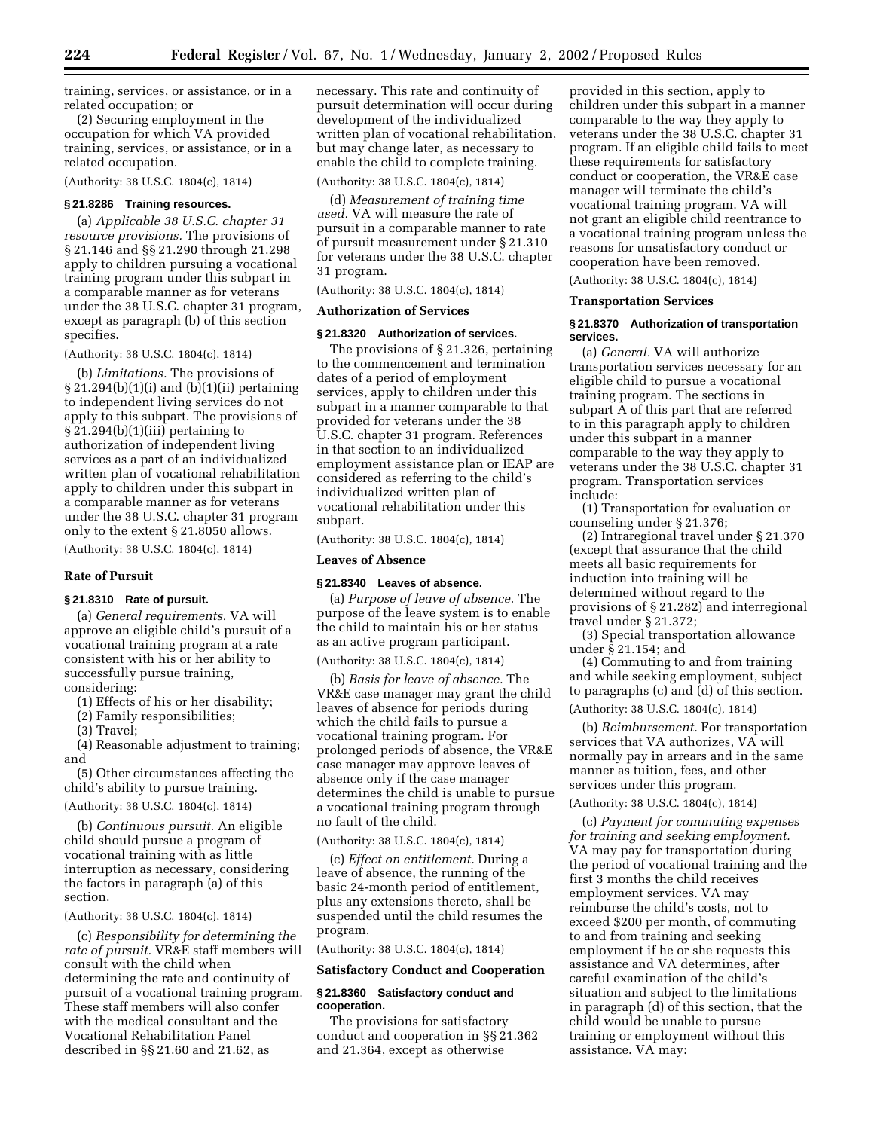training, services, or assistance, or in a related occupation; or

(2) Securing employment in the occupation for which VA provided training, services, or assistance, or in a related occupation.

(Authority: 38 U.S.C. 1804(c), 1814)

# **§ 21.8286 Training resources.**

(a) *Applicable 38 U.S.C. chapter 31 resource provisions.* The provisions of § 21.146 and §§ 21.290 through 21.298 apply to children pursuing a vocational training program under this subpart in a comparable manner as for veterans under the 38 U.S.C. chapter 31 program, except as paragraph (b) of this section specifies.

(Authority: 38 U.S.C. 1804(c), 1814)

(b) *Limitations.* The provisions of § 21.294(b)(1)(i) and (b)(1)(ii) pertaining to independent living services do not apply to this subpart. The provisions of § 21.294(b)(1)(iii) pertaining to authorization of independent living services as a part of an individualized written plan of vocational rehabilitation apply to children under this subpart in a comparable manner as for veterans under the 38 U.S.C. chapter 31 program only to the extent § 21.8050 allows.

(Authority: 38 U.S.C. 1804(c), 1814)

## **Rate of Pursuit**

# **§ 21.8310 Rate of pursuit.**

(a) *General requirements.* VA will approve an eligible child's pursuit of a vocational training program at a rate consistent with his or her ability to successfully pursue training, considering:

(1) Effects of his or her disability;

(2) Family responsibilities;

(3) Travel;

(4) Reasonable adjustment to training; and

(5) Other circumstances affecting the child's ability to pursue training.

(Authority: 38 U.S.C. 1804(c), 1814)

(b) *Continuous pursuit.* An eligible child should pursue a program of vocational training with as little interruption as necessary, considering the factors in paragraph (a) of this section.

(Authority: 38 U.S.C. 1804(c), 1814)

(c) *Responsibility for determining the rate of pursuit.* VR&E staff members will consult with the child when determining the rate and continuity of pursuit of a vocational training program. These staff members will also confer with the medical consultant and the Vocational Rehabilitation Panel described in §§ 21.60 and 21.62, as

necessary. This rate and continuity of pursuit determination will occur during development of the individualized written plan of vocational rehabilitation, but may change later, as necessary to enable the child to complete training.

(Authority: 38 U.S.C. 1804(c), 1814)

(d) *Measurement of training time used.* VA will measure the rate of pursuit in a comparable manner to rate of pursuit measurement under § 21.310 for veterans under the 38 U.S.C. chapter 31 program.

(Authority: 38 U.S.C. 1804(c), 1814)

# **Authorization of Services**

#### **§ 21.8320 Authorization of services.**

The provisions of § 21.326, pertaining to the commencement and termination dates of a period of employment services, apply to children under this subpart in a manner comparable to that provided for veterans under the 38 U.S.C. chapter 31 program. References in that section to an individualized employment assistance plan or IEAP are considered as referring to the child's individualized written plan of vocational rehabilitation under this subpart.

(Authority: 38 U.S.C. 1804(c), 1814)

#### **Leaves of Absence**

#### **§ 21.8340 Leaves of absence.**

(a) *Purpose of leave of absence.* The purpose of the leave system is to enable the child to maintain his or her status as an active program participant.

(Authority: 38 U.S.C. 1804(c), 1814)

(b) *Basis for leave of absence.* The VR&E case manager may grant the child leaves of absence for periods during which the child fails to pursue a vocational training program. For prolonged periods of absence, the VR&E case manager may approve leaves of absence only if the case manager determines the child is unable to pursue a vocational training program through no fault of the child.

(Authority: 38 U.S.C. 1804(c), 1814)

(c) *Effect on entitlement.* During a leave of absence, the running of the basic 24-month period of entitlement, plus any extensions thereto, shall be suspended until the child resumes the program.

(Authority: 38 U.S.C. 1804(c), 1814)

#### **Satisfactory Conduct and Cooperation**

### **§ 21.8360 Satisfactory conduct and cooperation.**

The provisions for satisfactory conduct and cooperation in §§ 21.362 and 21.364, except as otherwise

provided in this section, apply to children under this subpart in a manner comparable to the way they apply to veterans under the 38 U.S.C. chapter 31 program. If an eligible child fails to meet these requirements for satisfactory conduct or cooperation, the VR&E case manager will terminate the child's vocational training program. VA will not grant an eligible child reentrance to a vocational training program unless the reasons for unsatisfactory conduct or cooperation have been removed.

(Authority: 38 U.S.C. 1804(c), 1814)

# **Transportation Services**

#### **§ 21.8370 Authorization of transportation services.**

(a) *General.* VA will authorize transportation services necessary for an eligible child to pursue a vocational training program. The sections in subpart A of this part that are referred to in this paragraph apply to children under this subpart in a manner comparable to the way they apply to veterans under the 38 U.S.C. chapter 31 program. Transportation services include:

(1) Transportation for evaluation or counseling under § 21.376;

(2) Intraregional travel under § 21.370 (except that assurance that the child meets all basic requirements for induction into training will be determined without regard to the provisions of § 21.282) and interregional travel under § 21.372;

(3) Special transportation allowance under § 21.154; and

(4) Commuting to and from training and while seeking employment, subject to paragraphs (c) and (d) of this section.

# (Authority: 38 U.S.C. 1804(c), 1814)

(b) *Reimbursement.* For transportation services that VA authorizes, VA will normally pay in arrears and in the same manner as tuition, fees, and other services under this program.

# (Authority: 38 U.S.C. 1804(c), 1814)

(c) *Payment for commuting expenses for training and seeking employment.* VA may pay for transportation during the period of vocational training and the first 3 months the child receives employment services. VA may reimburse the child's costs, not to exceed \$200 per month, of commuting to and from training and seeking employment if he or she requests this assistance and VA determines, after careful examination of the child's situation and subject to the limitations in paragraph (d) of this section, that the child would be unable to pursue training or employment without this assistance. VA may: